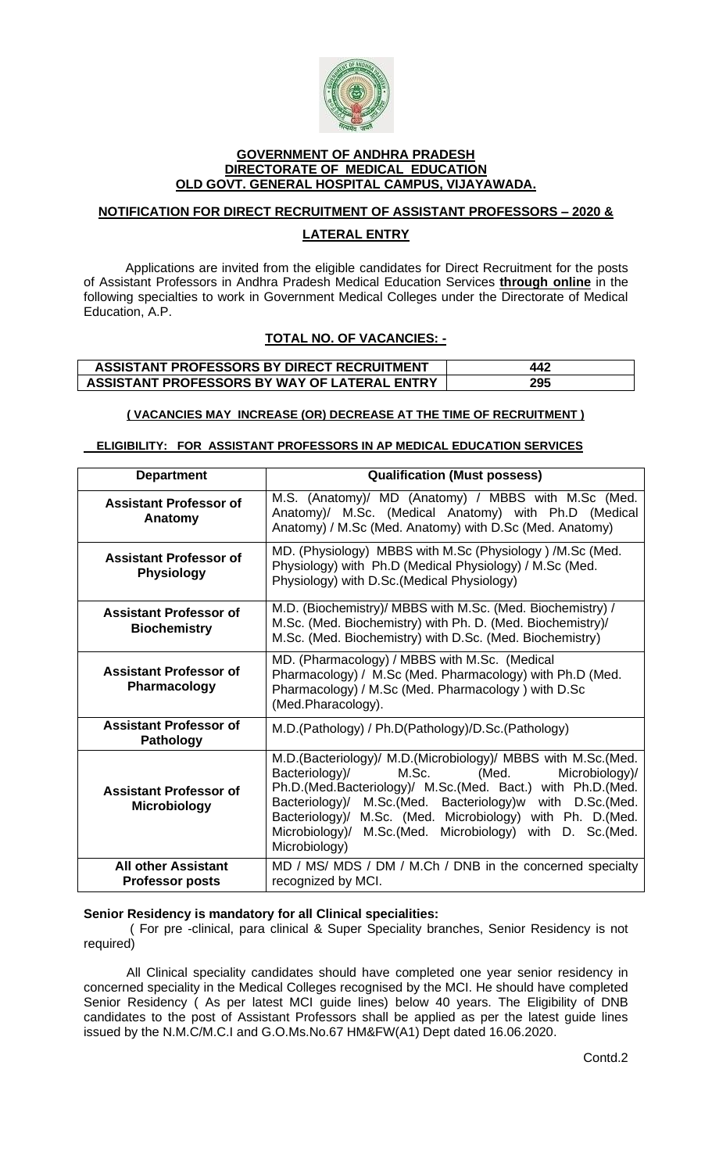

#### **GOVERNMENT OF ANDHRA PRADESH DIRECTORATE OF MEDICAL EDUCATION OLD GOVT. GENERAL HOSPITAL CAMPUS, VIJAYAWADA.**

# **NOTIFICATION FOR DIRECT RECRUITMENT OF ASSISTANT PROFESSORS – 2020 & LATERAL ENTRY**

Applications are invited from the eligible candidates for Direct Recruitment for the posts of Assistant Professors in Andhra Pradesh Medical Education Services **through online** in the following specialties to work in Government Medical Colleges under the Directorate of Medical Education, A.P.

# **TOTAL NO. OF VACANCIES: -**

### **ASSISTANT PROFESSORS BY DIRECT RECRUITMENT 442 ASSISTANT PROFESSORS BY WAY OF LATERAL ENTRY 295**

#### **( VACANCIES MAY INCREASE (OR) DECREASE AT THE TIME OF RECRUITMENT )**

#### **ELIGIBILITY: FOR ASSISTANT PROFESSORS IN AP MEDICAL EDUCATION SERVICES**

| <b>Department</b>                                    | <b>Qualification (Must possess)</b>                                                                                                                                                                                                                                                                                                                                                            |
|------------------------------------------------------|------------------------------------------------------------------------------------------------------------------------------------------------------------------------------------------------------------------------------------------------------------------------------------------------------------------------------------------------------------------------------------------------|
| <b>Assistant Professor of</b><br>Anatomy             | M.S. (Anatomy)/ MD (Anatomy) / MBBS with M.Sc (Med.<br>Anatomy)/ M.Sc. (Medical Anatomy) with Ph.D (Medical<br>Anatomy) / M.Sc (Med. Anatomy) with D.Sc (Med. Anatomy)                                                                                                                                                                                                                         |
| <b>Assistant Professor of</b><br><b>Physiology</b>   | MD. (Physiology) MBBS with M.Sc (Physiology) /M.Sc (Med.<br>Physiology) with Ph.D (Medical Physiology) / M.Sc (Med.<br>Physiology) with D.Sc.(Medical Physiology)                                                                                                                                                                                                                              |
| <b>Assistant Professor of</b><br><b>Biochemistry</b> | M.D. (Biochemistry)/ MBBS with M.Sc. (Med. Biochemistry) /<br>M.Sc. (Med. Biochemistry) with Ph. D. (Med. Biochemistry)/<br>M.Sc. (Med. Biochemistry) with D.Sc. (Med. Biochemistry)                                                                                                                                                                                                           |
| <b>Assistant Professor of</b><br>Pharmacology        | MD. (Pharmacology) / MBBS with M.Sc. (Medical<br>Pharmacology) / M.Sc (Med. Pharmacology) with Ph.D (Med.<br>Pharmacology) / M.Sc (Med. Pharmacology) with D.Sc<br>(Med.Pharacology).                                                                                                                                                                                                          |
| <b>Assistant Professor of</b><br><b>Pathology</b>    | M.D.(Pathology) / Ph.D(Pathology)/D.Sc.(Pathology)                                                                                                                                                                                                                                                                                                                                             |
| <b>Assistant Professor of</b><br>Microbiology        | M.D. (Bacteriology)/ M.D. (Microbiology)/ MBBS with M.Sc. (Med.<br>Microbiology)/<br>Bacteriology)/<br>M.Sc.<br>(Med.<br>Ph.D.(Med.Bacteriology)/ M.Sc.(Med. Bact.) with Ph.D.(Med.<br>Bacteriology)/ M.Sc.(Med. Bacteriology)w with D.Sc.(Med.<br>Bacteriology)/ M.Sc. (Med. Microbiology) with Ph. D.(Med.<br>Microbiology)/<br>M.Sc. (Med. Microbiology) with D. Sc. (Med.<br>Microbiology) |
| <b>All other Assistant</b><br><b>Professor posts</b> | MD / MS/ MDS / DM / M.Ch / DNB in the concerned specialty<br>recognized by MCI.                                                                                                                                                                                                                                                                                                                |

#### **Senior Residency is mandatory for all Clinical specialities:**

 ( For pre -clinical, para clinical & Super Speciality branches, Senior Residency is not required)

 All Clinical speciality candidates should have completed one year senior residency in concerned speciality in the Medical Colleges recognised by the MCI. He should have completed Senior Residency ( As per latest MCI guide lines) below 40 years. The Eligibility of DNB candidates to the post of Assistant Professors shall be applied as per the latest guide lines issued by the N.M.C/M.C.I and G.O.Ms.No.67 HM&FW(A1) Dept dated 16.06.2020.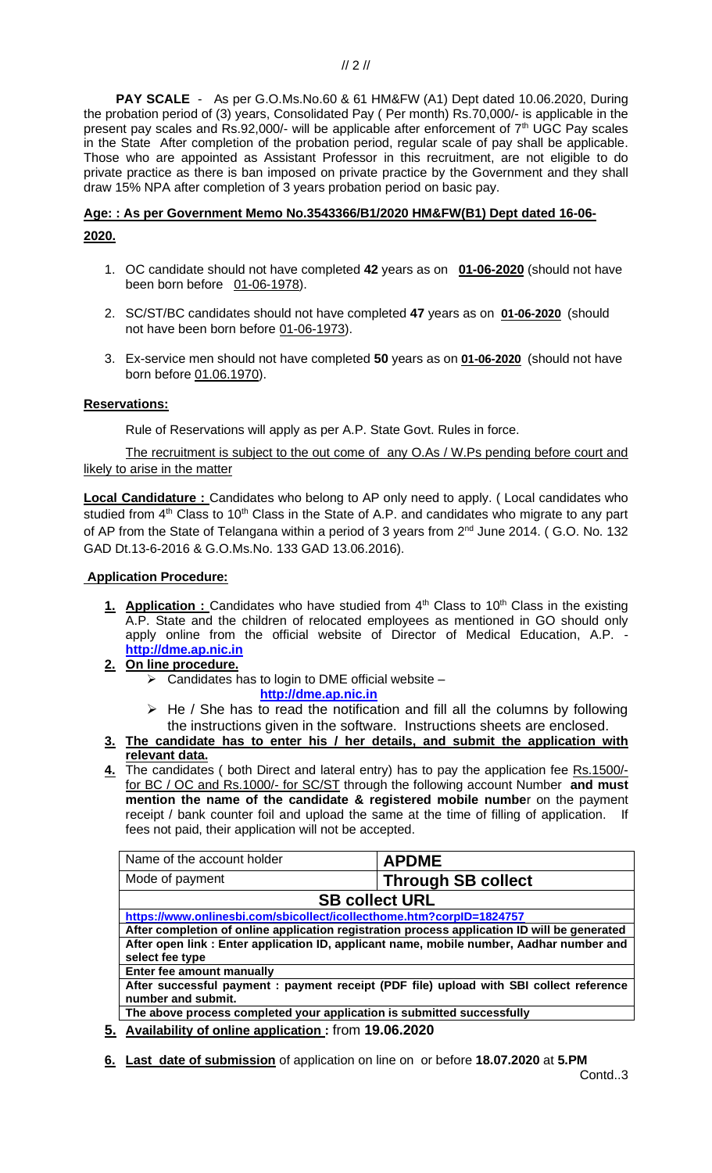**PAY SCALE** - As per G.O.Ms.No.60 & 61 HM&FW (A1) Dept dated 10.06.2020, During the probation period of (3) years, Consolidated Pay ( Per month) Rs.70,000/- is applicable in the present pay scales and Rs.92,000/- will be applicable after enforcement of 7<sup>th</sup> UGC Pay scales in the State After completion of the probation period, regular scale of pay shall be applicable. Those who are appointed as Assistant Professor in this recruitment, are not eligible to do private practice as there is ban imposed on private practice by the Government and they shall draw 15% NPA after completion of 3 years probation period on basic pay.

# **Age: : As per Government Memo No.3543366/B1/2020 HM&FW(B1) Dept dated 16-06- 2020.**

- 1. OC candidate should not have completed **42** years as on **01-06-2020** (should not have been born before 01-06-1978).
- 2. SC/ST/BC candidates should not have completed **47** years as on **01-06-2020** (should not have been born before 01-06-1973).
- 3. Ex-service men should not have completed **50** years as on **01-06-2020** (should not have born before 01.06.1970).

#### **Reservations:**

Rule of Reservations will apply as per A.P. State Govt. Rules in force.

The recruitment is subject to the out come of any O.As / W.Ps pending before court and likely to arise in the matter

**Local Candidature :** Candidates who belong to AP only need to apply. ( Local candidates who studied from 4<sup>th</sup> Class to 10<sup>th</sup> Class in the State of A.P. and candidates who migrate to any part of AP from the State of Telangana within a period of 3 years from 2<sup>nd</sup> June 2014. (G.O. No. 132 GAD Dt.13-6-2016 & G.O.Ms.No. 133 GAD 13.06.2016).

#### **Application Procedure:**

- 1. **Application :** Candidates who have studied from 4<sup>th</sup> Class to 10<sup>th</sup> Class in the existing A.P. State and the children of relocated employees as mentioned in GO should only apply online from the official website of Director of Medical Education, A.P. **[http://dme.ap.nic.in](http://dme.ap.nic.in/)**
- **2. On line procedure.**
	- $\triangleright$  Candidates has to login to DME official website
		- **[http://dme.ap.nic.in](http://dme.ap.nic.in/)**
	- $\triangleright$  He / She has to read the notification and fill all the columns by following the instructions given in the software. Instructions sheets are enclosed.
- **3. The candidate has to enter his / her details, and submit the application with relevant data.**
- **4.** The candidates ( both Direct and lateral entry) has to pay the application fee Rs.1500/ for BC / OC and Rs.1000/- for SC/ST through the following account Number **and must mention the name of the candidate & registered mobile numbe**r on the payment receipt / bank counter foil and upload the same at the time of filling of application. If fees not paid, their application will not be accepted.

| Name of the account holder                                                                   | <b>APDME</b>              |  |  |
|----------------------------------------------------------------------------------------------|---------------------------|--|--|
| Mode of payment                                                                              | <b>Through SB collect</b> |  |  |
| <b>SB collect URL</b>                                                                        |                           |  |  |
| https://www.onlinesbi.com/sbicollect/icollecthome.htm?corpID=1824757                         |                           |  |  |
| After completion of online application registration process application ID will be generated |                           |  |  |
| After open link : Enter application ID, applicant name, mobile number, Aadhar number and     |                           |  |  |
| select fee type                                                                              |                           |  |  |
| Enter fee amount manually                                                                    |                           |  |  |
| After successful payment: payment receipt (PDF file) upload with SBI collect reference       |                           |  |  |
| number and submit.                                                                           |                           |  |  |
| The above process completed your application is submitted successfully                       |                           |  |  |

- **5. Availability of online application :** from **19.06.2020**
- **6. Last date of submission** of application on line on or before **18.07.2020** at **5.PM**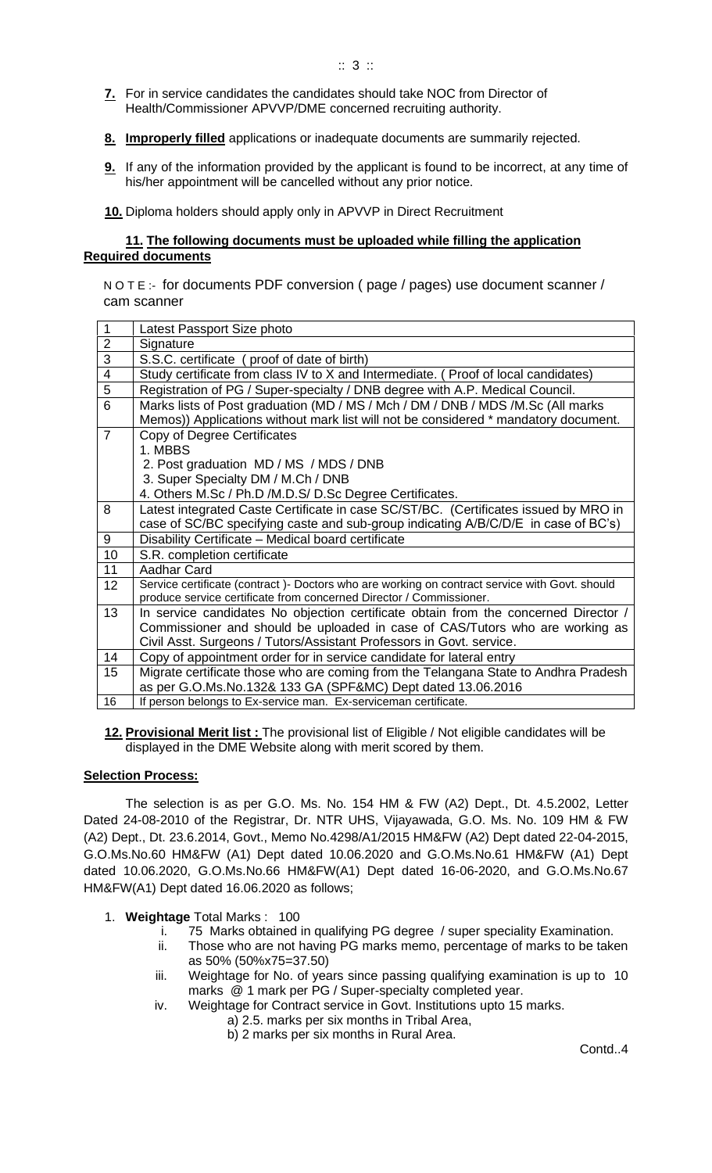- **7.** For in service candidates the candidates should take NOC from Director of Health/Commissioner APVVP/DME concerned recruiting authority.
- **8. Improperly filled** applications or inadequate documents are summarily rejected.
- **9.** If any of the information provided by the applicant is found to be incorrect, at any time of his/her appointment will be cancelled without any prior notice.
- **10.** Diploma holders should apply only in APVVP in Direct Recruitment

### **11. The following documents must be uploaded while filling the application Required documents**

N O T E :- for documents PDF conversion ( page / pages) use document scanner / cam scanner

| $\overline{2}$<br>Signature<br>$\overline{3}$<br>S.S.C. certificate (proof of date of birth)                                                                                |  |
|-----------------------------------------------------------------------------------------------------------------------------------------------------------------------------|--|
|                                                                                                                                                                             |  |
|                                                                                                                                                                             |  |
| $\overline{4}$<br>Study certificate from class IV to X and Intermediate. (Proof of local candidates)                                                                        |  |
| $\overline{5}$<br>Registration of PG / Super-specialty / DNB degree with A.P. Medical Council.                                                                              |  |
| 6<br>Marks lists of Post graduation (MD / MS / Mch / DM / DNB / MDS /M.Sc (All marks                                                                                        |  |
| Memos)) Applications without mark list will not be considered * mandatory document.                                                                                         |  |
| $\overline{7}$<br>Copy of Degree Certificates                                                                                                                               |  |
| 1. MBBS                                                                                                                                                                     |  |
| 2. Post graduation MD / MS / MDS / DNB                                                                                                                                      |  |
| 3. Super Specialty DM / M.Ch / DNB                                                                                                                                          |  |
| 4. Others M.Sc / Ph.D /M.D.S/ D.Sc Degree Certificates.                                                                                                                     |  |
| Latest integrated Caste Certificate in case SC/ST/BC. (Certificates issued by MRO in<br>8                                                                                   |  |
| case of SC/BC specifying caste and sub-group indicating A/B/C/D/E in case of BC's)                                                                                          |  |
| $\boldsymbol{9}$<br>Disability Certificate - Medical board certificate                                                                                                      |  |
| 10<br>S.R. completion certificate                                                                                                                                           |  |
| 11<br>Aadhar Card                                                                                                                                                           |  |
| Service certificate (contract) - Doctors who are working on contract service with Govt. should<br>12<br>produce service certificate from concerned Director / Commissioner. |  |
| 13<br>In service candidates No objection certificate obtain from the concerned Director /                                                                                   |  |
| Commissioner and should be uploaded in case of CAS/Tutors who are working as                                                                                                |  |
| Civil Asst. Surgeons / Tutors/Assistant Professors in Govt. service.                                                                                                        |  |
| Copy of appointment order for in service candidate for lateral entry<br>14                                                                                                  |  |
| Migrate certificate those who are coming from the Telangana State to Andhra Pradesh<br>15                                                                                   |  |
| as per G.O.Ms.No.132& 133 GA (SPF&MC) Dept dated 13.06.2016                                                                                                                 |  |
| 16<br>If person belongs to Ex-service man. Ex-serviceman certificate.                                                                                                       |  |

**12. Provisional Merit list :** The provisional list of Eligible / Not eligible candidates will be displayed in the DME Website along with merit scored by them.

#### **Selection Process:**

The selection is as per G.O. Ms. No. 154 HM & FW (A2) Dept., Dt. 4.5.2002, Letter Dated 24-08-2010 of the Registrar, Dr. NTR UHS, Vijayawada, G.O. Ms. No. 109 HM & FW (A2) Dept., Dt. 23.6.2014, Govt., Memo No.4298/A1/2015 HM&FW (A2) Dept dated 22-04-2015, G.O.Ms.No.60 HM&FW (A1) Dept dated 10.06.2020 and G.O.Ms.No.61 HM&FW (A1) Dept dated 10.06.2020, G.O.Ms.No.66 HM&FW(A1) Dept dated 16-06-2020, and G.O.Ms.No.67 HM&FW(A1) Dept dated 16.06.2020 as follows;

- 1. **Weightage** Total Marks : 100
	- i. 75 Marks obtained in qualifying PG degree / super speciality Examination.
	- ii. Those who are not having PG marks memo, percentage of marks to be taken as 50% (50%x75=37.50)
	- iii. Weightage for No. of years since passing qualifying examination is up to 10 marks @ 1 mark per PG / Super-specialty completed year.
	- iv. Weightage for Contract service in Govt. Institutions upto 15 marks.
		- a) 2.5. marks per six months in Tribal Area,
			- b) 2 marks per six months in Rural Area.